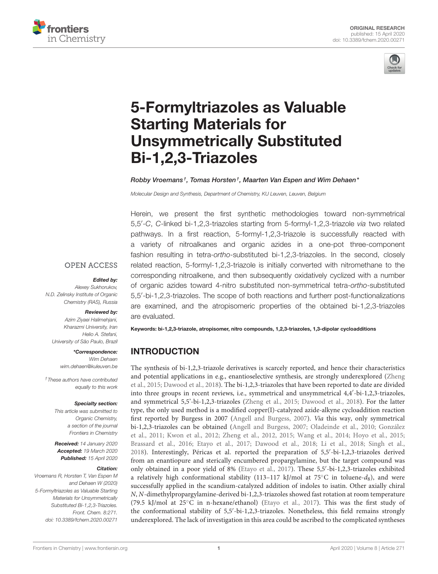



# 5-Formyltriazoles as Valuable Starting Materials for [Unsymmetrically Substituted](https://www.frontiersin.org/articles/10.3389/fchem.2020.00271/full) Bi-1,2,3-Triazoles

## [Robby Vroemans](http://loop.frontiersin.org/people/753638/overview)†, [Tomas Horsten](http://loop.frontiersin.org/people/887243/overview)†, Maarten Van Espen and Wim Dehaen\*

Molecular Design and Synthesis, Department of Chemistry, KU Leuven, Leuven, Belgium

Herein, we present the first synthetic methodologies toward non-symmetrical 5,5′ -C, C-linked bi-1,2,3-triazoles starting from 5-formyl-1,2,3-triazole via two related pathways. In a first reaction, 5-formyl-1,2,3-triazole is successfully reacted with a variety of nitroalkanes and organic azides in a one-pot three-component fashion resulting in tetra-ortho-substituted bi-1,2,3-triazoles. In the second, closely related reaction, 5-formyl-1,2,3-triazole is initially converted with nitromethane to the corresponding nitroalkene, and then subsequently oxidatively cyclized with a number of organic azides toward 4-nitro substituted non-symmetrical tetra-ortho-substituted 5,5′ -bi-1,2,3-triazoles. The scope of both reactions and furtherr post-functionalizations are examined, and the atropisomeric properties of the obtained bi-1,2,3-triazoles are evaluated.

#### **OPEN ACCESS**

#### Edited by:

Alexey Sukhorukov, N.D. Zelinsky Institute of Organic Chemistry (RAS), Russia

## Reviewed by:

Azim Ziyaei Halimehjani, Kharazmi University, Iran Helio A. Stefani, University of São Paulo, Brazil

> \*Correspondence: Wim Dehaen [wim.dehaen@kuleuven.be](mailto:wim.dehaen@kuleuven.be)

†These authors have contributed equally to this work

#### Specialty section:

This article was submitted to Organic Chemistry, a section of the journal Frontiers in Chemistry

Received: 14 January 2020 Accepted: 19 March 2020 Published: 15 April 2020

#### Citation:

Vroemans R, Horsten T, Van Espen M and Dehaen W (2020) 5-Formyltriazoles as Valuable Starting Materials for Unsymmetrically Substituted Bi-1,2,3-Triazoles. Front. Chem. 8:271. doi: [10.3389/fchem.2020.00271](https://doi.org/10.3389/fchem.2020.00271) Keywords: bi-1,2,3-triazole, atropisomer, nitro compounds, 1,2,3-triazoles, 1,3-dipolar cycloadditions

# INTRODUCTION

The synthesis of bi-1,2,3-triazole derivatives is scarcely reported, and hence their characteristics and potential applications in e.g., enantioselective synthesis, are strongly underexplored (Zheng et al., [2015;](#page-5-0) [Dawood et al., 2018\)](#page-5-1). The bi-1,2,3-triazoles that have been reported to date are divided into three groups in recent reviews, i.e., symmetrical and unsymmetrical 4,4′ -bi-1,2,3-triazoles, and symmetrical 5,5'-bi-1,2,3-triazoles [\(Zheng et al., 2015;](#page-5-0) [Dawood et al., 2018\)](#page-5-1). For the latter type, the only used method is a modified copper(I)-catalyzed azide-alkyne cycloaddition reaction first reported by Burgess in 2007 [\(Angell and Burgess, 2007\)](#page-5-2). Via this way, only symmetrical bi-1,2,3-triazoles can be obtained [\(Angell and Burgess, 2007;](#page-5-2) [Oladeinde et al., 2010;](#page-5-3) González et al., [2011;](#page-5-4) [Kwon et al., 2012;](#page-5-5) [Zheng et al., 2012,](#page-5-6) [2015;](#page-5-0) [Wang](#page-5-7) et al., [2014;](#page-5-7) [Hoyo et al., 2015;](#page-5-8) [Brassard et al., 2016;](#page-5-9) [Etayo et al., 2017;](#page-5-10) [Dawood et al., 2018;](#page-5-1) [Li et al., 2018;](#page-5-11) [Singh et al.,](#page-5-12) [2018\)](#page-5-12). Interestingly, Péricas et al. reported the preparation of 5,5'-bi-1,2,3-triazoles derived from an enantiopure and sterically encumbered propargylamine, but the target compound was only obtained in a poor yield of 8% [\(Etayo et al., 2017\)](#page-5-10). These 5,5′ -bi-1,2,3-triazoles exhibited a relatively high conformational stability (113–117 kJ/mol at 75°C in toluene- $d_8$ ), and were successfully applied in the scandium-catalyzed addition of indoles to isatin. Other axially chiral N, N-dimethylpropargylamine-derived bi-1,2,3-triazoles showed fast rotation at room temperature (79.5 kJ/mol at 25◦C in n-hexane/ethanol) [\(Etayo et al., 2017\)](#page-5-10). This was the first study of the conformational stability of 5,5′ -bi-1,2,3-triazoles. Nonetheless, this field remains strongly underexplored. The lack of investigation in this area could be ascribed to the complicated syntheses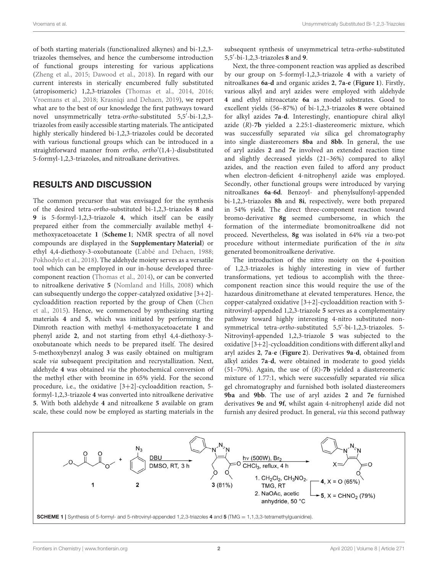of both starting materials (functionalized alkynes) and bi-1,2,3 triazoles themselves, and hence the cumbersome introduction of functional groups interesting for various applications [\(Zheng et al., 2015;](#page-5-0) [Dawood et al., 2018\)](#page-5-1). In regard with our current interests in sterically encumbered fully substituted (atropisomeric) 1,2,3-triazoles [\(Thomas et al., 2014,](#page-5-13) [2016;](#page-5-14) [Vroemans et al., 2018;](#page-5-15) [Krasniqi and Dehaen, 2019\)](#page-5-16), we report what are to the best of our knowledge the first pathways toward novel unsymmetrically tetra-ortho-substituted 5,5'-bi-1,2,3triazoles from easily accessible starting materials. The anticipated highly sterically hindered bi-1,2,3-triazoles could be decorated with various functional groups which can be introduced in a straightforward manner from ortho, ortho'(1,4-)-disubstituted 5-formyl-1,2,3-triazoles, and nitroalkane derivatives.

## RESULTS AND DISCUSSION

The common precursor that was envisaged for the synthesis of the desired tetra-ortho-substituted bi-1,2,3-triazoles **8** and **9** is 5-formyl-1,2,3-triazole **4**, which itself can be easily prepared either from the commercially available methyl 4 methoxyacetoacetate **1** (**[Scheme 1](#page-1-0)**; NMR spectra of all novel compounds are displayed in the **[Supplementary Material](#page-5-17)**) or ethyl 4,4-diethoxy-3-oxobutanoate [\(L'abbé and Dehaen, 1988;](#page-5-18) [Pokhodylo et al., 2018\)](#page-5-19). The aldehyde moiety serves as a versatile tool which can be employed in our in-house developed threecomponent reaction [\(Thomas et al., 2014\)](#page-5-13), or can be converted to nitroalkene derivative **5** [\(Nomland and Hills, 2008\)](#page-5-20) which can subsequently undergo the copper-catalyzed oxidative [3+2] cycloaddition reaction reported by the group of Chen (Chen et al., [2015\)](#page-5-21). Hence, we commenced by synthesizing starting materials **4** and **5**, which was initiated by performing the Dimroth reaction with methyl 4-methoxyacetoacetate **1** and phenyl azide **2**, and not starting from ethyl 4,4-diethoxy-3 oxobutanoate which needs to be prepared itself. The desired 5-methoxybenzyl analog **3** was easily obtained on multigram scale *via* subsequent precipitation and recrystallization. Next, aldehyde **4** was obtained via the photochemical conversion of the methyl ether with bromine in 65% yield. For the second procedure, i.e., the oxidative [3+2]-cycloaddition reaction, 5 formyl-1,2,3-triazole **4** was converted into nitroalkene derivative **5**. With both aldehyde **4** and nitroalkene **5** available on gram scale, these could now be employed as starting materials in the subsequent synthesis of unsymmetrical tetra-ortho-substituted 5,5′ -bi-1,2,3-triazoles **8** and **9**.

Next, the three-component reaction was applied as described by our group on 5-formyl-1,2,3-triazole **4** with a variety of nitroalkanes **6a-d** and organic azides **2**, **7a-e** (**[Figure 1](#page-2-0)**). Firstly, various alkyl and aryl azides were employed with aldehyde **4** and ethyl nitroacetate **6a** as model substrates. Good to excellent yields (56–87%) of bi-1,2,3-triazoles **8** were obtained for alkyl azides **7a**-**d**. Interestingly, enantiopure chiral alkyl azide (R)-**7b** yielded a 2.25:1-diastereomeric mixture, which was successfully separated via silica gel chromatography into single diastereomers **8ba** and **8bb**. In general, the use of aryl azides **2** and **7e** involved an extended reaction time and slightly decreased yields (21–36%) compared to alkyl azides, and the reaction even failed to afford any product when electron-deficient 4-nitrophenyl azide was employed. Secondly, other functional groups were introduced by varying nitroalkanes **6a**-**6d**. Benzoyl- and phenylsulfonyl-appended bi-1,2,3-triazoles **8h** and **8i**, respectively, were both prepared in 54% yield. The direct three-component reaction toward bromo-derivative **8g** seemed cumbersome, in which the formation of the intermediate bromonitroalkene did not proceed. Nevertheless, **8g** was isolated in 64% via a two-pot procedure without intermediate purification of the in situ generated bromonitroalkene derivative.

The introduction of the nitro moiety on the 4-position of 1,2,3-triazoles is highly interesting in view of further transformations, yet tedious to accomplish with the threecomponent reaction since this would require the use of the hazardous dinitromethane at elevated temperatures. Hence, the copper-catalyzed oxidative [3+2]-cycloaddition reaction with 5 nitrovinyl-appended 1,2,3-triazole **5** serves as a complementairy pathway toward highly interesting 4-nitro substituted nonsymmetrical tetra-ortho-substituted 5,5'-bi-1,2,3-triazoles. 5- Nitrovinyl-appended 1,2,3-triazole **5** was subjected to the oxidative [3+2]-cycloaddition conditions with different alkyl and aryl azides **2**, **7a**-**e** (**[Figure 2](#page-3-0)**). Derivatives **9a**-**d**, obtained from alkyl azides **7a**-**d**, were obtained in moderate to good yields (51–70%). Again, the use of (R)-**7b** yielded a diastereomeric mixture of 1.77:1, which were successfully separated via silica gel chromatography and furnished both isolated diastereomers **9ba** and **9bb**. The use of aryl azides **2** and **7e** furnished derivatives **9e** and **9f**, whilst again 4-nitrophenyl azide did not furnish any desired product. In general, via this second pathway

<span id="page-1-0"></span>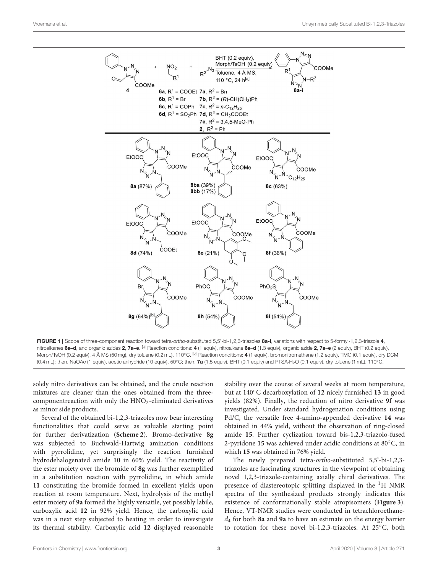

<span id="page-2-0"></span>solely nitro derivatives can be obtained, and the crude reaction mixtures are cleaner than the ones obtained from the threecomponentreaction with only the HNO2-eliminated derivatives as minor side products.

Several of the obtained bi-1,2,3-triazoles now bear interesting functionalities that could serve as valuable starting point for further derivatization (**[Scheme 2](#page-4-0)**). Bromo-derivative **8g** was subjected to Buchwald-Hartwig amination conditions with pyrrolidine, yet surprisingly the reaction furnished hydrodehalogenated amide **10** in 60% yield. The reactivity of the ester moiety over the bromide of **8g** was further exemplified in a substitution reaction with pyrrolidine, in which amide **11** constituting the bromide formed in excellent yields upon reaction at room temperature. Next, hydrolysis of the methyl ester moiety of **9a** formed the highly versatile, yet possibly labile, carboxylic acid **12** in 92% yield. Hence, the carboxylic acid was in a next step subjected to heating in order to investigate its thermal stability. Carboxylic acid **12** displayed reasonable stability over the course of several weeks at room temperature, but at 140◦C decarboxylation of **12** nicely furnished **13** in good yields (82%). Finally, the reduction of nitro derivative **9f** was investigated. Under standard hydrogenation conditions using Pd/C, the versatile free 4-amino-appended derivative **14** was obtained in 44% yield, without the observation of ring-closed amide **15**. Further cyclization toward bis-1,2,3-triazolo-fused 2-pyridone **15** was achieved under acidic conditions at 80◦C, in which **15** was obtained in 76% yield.

The newly prepared tetra-ortho-substituted 5,5'-bi-1,2,3 triazoles are fascinating structures in the viewpoint of obtaining novel 1,2,3-triazole-containing axially chiral derivatives. The presence of diastereotopic splitting displayed in the  ${}^{1}$ H NMR spectra of the synthesized products strongly indicates this existence of conformationally stable atropisomers (**[Figure 3](#page-4-1)**). Hence, VT-NMR studies were conducted in tetrachloroethaned<sup>4</sup> for both **8a** and **9a** to have an estimate on the energy barrier to rotation for these novel bi-1,2,3-triazoles. At 25◦C, both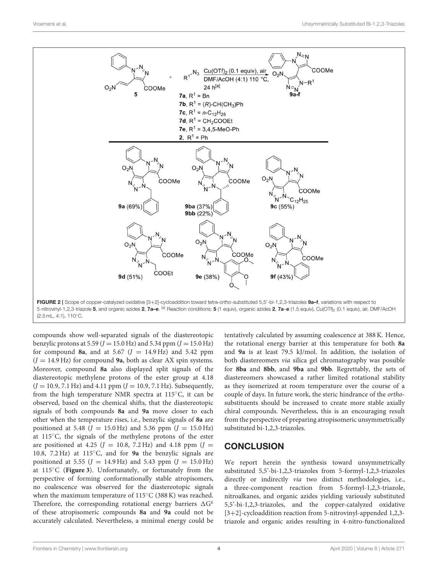

<span id="page-3-0"></span>compounds show well-separated signals of the diastereotopic benzylic protons at 5.59 ( $J = 15.0$  Hz) and 5.34 ppm ( $J = 15.0$  Hz) for compound 8a, and at 5.67  $(J = 14.9 \text{ Hz})$  and 5.42 ppm  $(J = 14.9 \text{ Hz})$  for compound **9a**, both as clear AX spin systems. Moreover, compound **8a** also displayed split signals of the diastereotopic methylene protons of the ester group at 4.18  $(J = 10.9, 7.1 \text{ Hz})$  and 4.11 ppm  $(J = 10.9, 7.1 \text{ Hz})$ . Subsequently, from the high temperature NMR spectra at 115◦C, it can be observed, based on the chemical shifts, that the diastereotopic signals of both compounds **8a** and **9a** move closer to each other when the temperature rises, i.e., benzylic signals of **8a** are positioned at 5.48 ( $J = 15.0$  Hz) and 5.36 ppm ( $J = 15.0$  Hz) at 115◦C, the signals of the methylene protons of the ester are positioned at 4.25 ( $J = 10.8$ , 7.2 Hz) and 4.18 ppm ( $J =$ 10.8, 7.2 Hz) at 115◦C, and for **9a** the benzylic signals are positioned at 5.55 ( $J = 14.9$  Hz) and 5.43 ppm ( $J = 15.0$  Hz) at 115◦C (**[Figure 3](#page-4-1)**). Unfortunately, or fortunately from the perspective of forming conformationally stable atropisomers, no coalescence was observed for the diastereotopic signals when the maximum temperature of 115◦C (388 K) was reached. Therefore, the corresponding rotational energy barriers  $\Delta G^2$ of these atropisomeric compounds **8a** and **9a** could not be accurately calculated. Nevertheless, a minimal energy could be tentatively calculated by assuming coalescence at 388 K. Hence, the rotational energy barrier at this temperature for both **8a** and **9a** is at least 79.5 kJ/mol. In addition, the isolation of both diastereomers via silica gel chromatography was possible for **8ba** and **8bb**, and **9ba** and **9bb**. Regrettably, the sets of diastereomers showcased a rather limited rotational stability as they isomerized at room temperature over the course of a couple of days. In future work, the steric hindrance of the orthosubstituents should be increased to create more stable axially chiral compounds. Nevertheless, this is an encouraging result from the perspective of preparing atropisomeric unsymmetrically substituted bi-1,2,3-triazoles.

# **CONCLUSION**

We report herein the synthesis toward unsymmetrically substituted 5,5'-bi-1,2,3-triazoles from 5-formyl-1,2,3-triazoles directly or indirectly via two distinct methodologies, i.e., a three-component reaction from 5-formyl-1,2,3-triazole, nitroalkanes, and organic azides yielding variously substituted 5,5'-bi-1,2,3-triazoles, and the copper-catalyzed oxidative [3+2]-cycloaddition reaction from 5-nitrovinyl-appended 1,2,3 triazole and organic azides resulting in 4-nitro-functionalized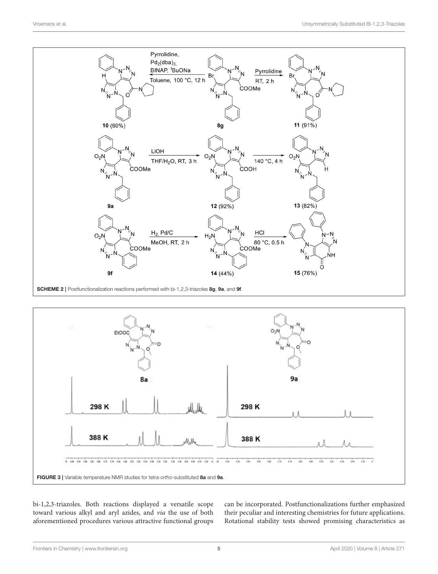

<span id="page-4-0"></span>SCHEME 2 | Postfunctionalization reactions performed with bi-1,2,3-triazoles 8g, 9a, and 9f.



<span id="page-4-1"></span>bi-1,2,3-triazoles. Both reactions displayed a versatile scope toward various alkyl and aryl azides, and via the use of both aforementioned procedures various attractive functional groups can be incorporated. Postfunctionalizations further emphasized their peculiar and interesting chemistries for future applications. Rotational stability tests showed promising characteristics as